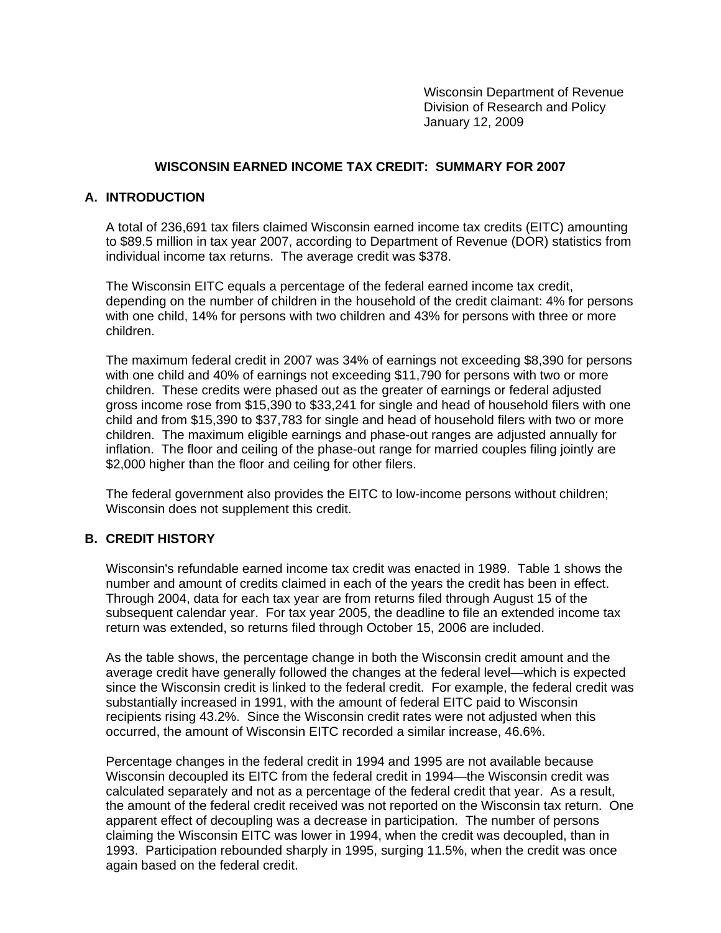Wisconsin Department of Revenue Division of Research and Policy January 12, 2009

### **WISCONSIN EARNED INCOME TAX CREDIT: SUMMARY FOR 2007**

#### **A. INTRODUCTION**

A total of 236,691 tax filers claimed Wisconsin earned income tax credits (EITC) amounting to \$89.5 million in tax year 2007, according to Department of Revenue (DOR) statistics from individual income tax returns. The average credit was \$378.

The Wisconsin EITC equals a percentage of the federal earned income tax credit, depending on the number of children in the household of the credit claimant: 4% for persons with one child, 14% for persons with two children and 43% for persons with three or more children.

The maximum federal credit in 2007 was 34% of earnings not exceeding \$8,390 for persons with one child and 40% of earnings not exceeding \$11,790 for persons with two or more children. These credits were phased out as the greater of earnings or federal adjusted gross income rose from \$15,390 to \$33,241 for single and head of household filers with one child and from \$15,390 to \$37,783 for single and head of household filers with two or more children. The maximum eligible earnings and phase-out ranges are adjusted annually for inflation. The floor and ceiling of the phase-out range for married couples filing jointly are \$2,000 higher than the floor and ceiling for other filers.

The federal government also provides the EITC to low-income persons without children; Wisconsin does not supplement this credit.

#### **B. CREDIT HISTORY**

Wisconsin's refundable earned income tax credit was enacted in 1989. Table 1 shows the number and amount of credits claimed in each of the years the credit has been in effect. Through 2004, data for each tax year are from returns filed through August 15 of the subsequent calendar year. For tax year 2005, the deadline to file an extended income tax return was extended, so returns filed through October 15, 2006 are included.

As the table shows, the percentage change in both the Wisconsin credit amount and the average credit have generally followed the changes at the federal level—which is expected since the Wisconsin credit is linked to the federal credit. For example, the federal credit was substantially increased in 1991, with the amount of federal EITC paid to Wisconsin recipients rising 43.2%. Since the Wisconsin credit rates were not adjusted when this occurred, the amount of Wisconsin EITC recorded a similar increase, 46.6%.

Percentage changes in the federal credit in 1994 and 1995 are not available because Wisconsin decoupled its EITC from the federal credit in 1994—the Wisconsin credit was calculated separately and not as a percentage of the federal credit that year. As a result, the amount of the federal credit received was not reported on the Wisconsin tax return. One apparent effect of decoupling was a decrease in participation. The number of persons claiming the Wisconsin EITC was lower in 1994, when the credit was decoupled, than in 1993. Participation rebounded sharply in 1995, surging 11.5%, when the credit was once again based on the federal credit.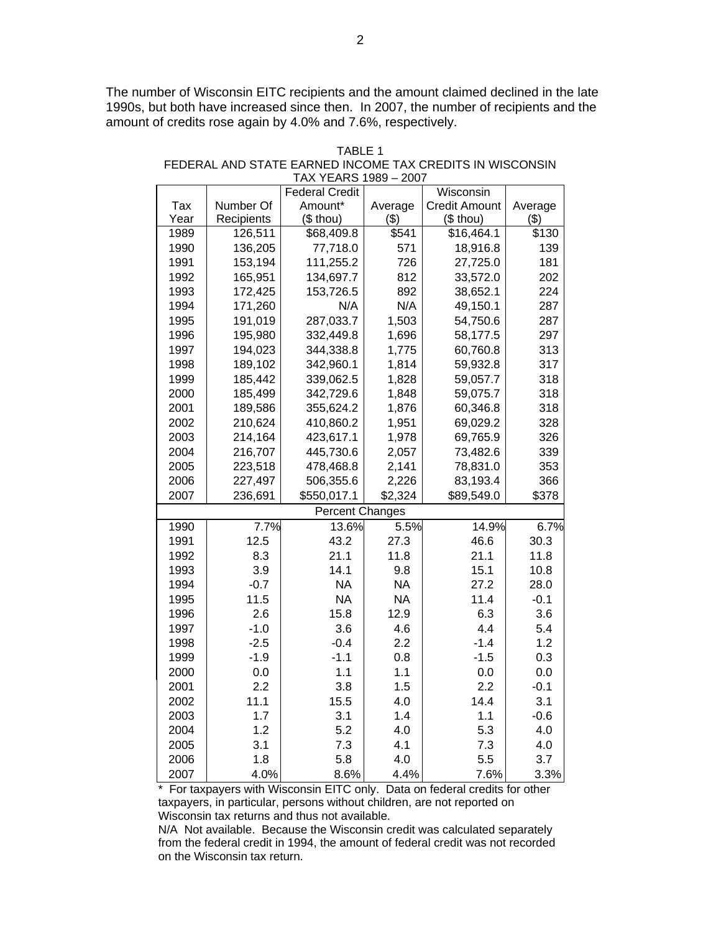The number of Wisconsin EITC recipients and the amount claimed declined in the late 1990s, but both have increased since then. In 2007, the number of recipients and the amount of credits rose again by 4.0% and 7.6%, respectively.

| IAA TEARS 1909 – 2007 |            |                        |           |                      |         |  |  |  |
|-----------------------|------------|------------------------|-----------|----------------------|---------|--|--|--|
|                       |            | <b>Federal Credit</b>  |           | Wisconsin            |         |  |  |  |
| Tax                   | Number Of  | Amount*                | Average   | <b>Credit Amount</b> | Average |  |  |  |
| Year                  | Recipients | $($$ thou)             | (3)       | $($$ thou)           | (3)     |  |  |  |
| 1989                  | 126,511    | \$68,409.8             | \$541     | \$16,464.1           | \$130   |  |  |  |
| 1990                  | 136,205    | 77,718.0               | 571       | 18,916.8             | 139     |  |  |  |
| 1991                  | 153,194    | 111,255.2              | 726       | 27,725.0             | 181     |  |  |  |
| 1992                  | 165,951    | 134,697.7              | 812       | 33,572.0             | 202     |  |  |  |
| 1993                  | 172,425    | 153,726.5              | 892       | 38,652.1             | 224     |  |  |  |
| 1994                  | 171,260    | N/A                    | N/A       | 49,150.1             | 287     |  |  |  |
| 1995                  | 191,019    | 287,033.7              | 1,503     | 54,750.6             | 287     |  |  |  |
| 1996                  | 195,980    | 332,449.8              | 1,696     | 58,177.5             | 297     |  |  |  |
| 1997                  | 194,023    | 344,338.8              | 1,775     | 60,760.8             | 313     |  |  |  |
| 1998                  | 189,102    | 342,960.1              | 1,814     | 59,932.8             | 317     |  |  |  |
| 1999                  | 185,442    | 339,062.5              | 1,828     | 59,057.7             | 318     |  |  |  |
| 2000                  | 185,499    | 342,729.6              | 1,848     | 59,075.7             | 318     |  |  |  |
| 2001                  | 189,586    | 355,624.2              | 1,876     | 60,346.8             | 318     |  |  |  |
| 2002                  | 210,624    | 410,860.2              | 1,951     | 69,029.2             | 328     |  |  |  |
| 2003                  | 214,164    | 423,617.1              | 1,978     | 69,765.9             | 326     |  |  |  |
| 2004                  | 216,707    | 445,730.6              | 2,057     | 73,482.6             | 339     |  |  |  |
| 2005                  | 223,518    | 478,468.8              | 2,141     | 78,831.0             | 353     |  |  |  |
| 2006                  | 227,497    | 506,355.6              | 2,226     | 83,193.4             | 366     |  |  |  |
| 2007                  | 236,691    | \$550,017.1            | \$2,324   | \$89,549.0           | \$378   |  |  |  |
|                       |            | <b>Percent Changes</b> |           |                      |         |  |  |  |
| 1990                  | 7.7%       | 13.6%                  | 5.5%      | 14.9%                | 6.7%    |  |  |  |
| 1991                  | 12.5       | 43.2                   | 27.3      | 46.6                 | 30.3    |  |  |  |
| 1992                  | 8.3        | 21.1                   | 11.8      | 21.1                 | 11.8    |  |  |  |
| 1993                  | 3.9        | 14.1                   | 9.8       | 15.1                 | 10.8    |  |  |  |
| 1994                  | $-0.7$     | <b>NA</b>              | <b>NA</b> | 27.2                 | 28.0    |  |  |  |
| 1995                  | 11.5       | <b>NA</b>              | <b>NA</b> | 11.4                 | $-0.1$  |  |  |  |
| 1996                  | 2.6        | 15.8                   | 12.9      | 6.3                  | 3.6     |  |  |  |
| 1997                  | $-1.0$     | 3.6                    | 4.6       | 4.4                  | 5.4     |  |  |  |
| 1998                  | $-2.5$     | $-0.4$                 | 2.2       | $-1.4$               | 1.2     |  |  |  |
| 1999                  | $-1.9$     | $-1.1$                 | 0.8       | $-1.5$               | 0.3     |  |  |  |
| 2000                  | 0.0        | 1.1                    | 1.1       | 0.0                  | 0.0     |  |  |  |
| 2001                  | 2.2        | 3.8                    | 1.5       | 2.2                  | $-0.1$  |  |  |  |
| 2002                  | 11.1       | 15.5                   | 4.0       | 14.4                 | 3.1     |  |  |  |
| 2003                  | 1.7        | 3.1                    | 1.4       | 1.1                  | $-0.6$  |  |  |  |
| 2004                  | 1.2        | 5.2                    | 4.0       | 5.3                  | 4.0     |  |  |  |
| 2005                  | 3.1        | 7.3                    | 4.1       | 7.3                  | 4.0     |  |  |  |
| 2006                  | 1.8        | 5.8                    | 4.0       | 5.5                  | 3.7     |  |  |  |
| 2007                  | 4.0%       | 8.6%                   | 4.4%      | 7.6%                 | 3.3%    |  |  |  |

TABLE 1 FEDERAL AND STATE EARNED INCOME TAX CREDITS IN WISCONSIN TAX YEARS 1989 – 2007

\* For taxpayers with Wisconsin EITC only. Data on federal credits for other taxpayers, in particular, persons without children, are not reported on Wisconsin tax returns and thus not available.

N/A Not available. Because the Wisconsin credit was calculated separately from the federal credit in 1994, the amount of federal credit was not recorded on the Wisconsin tax return.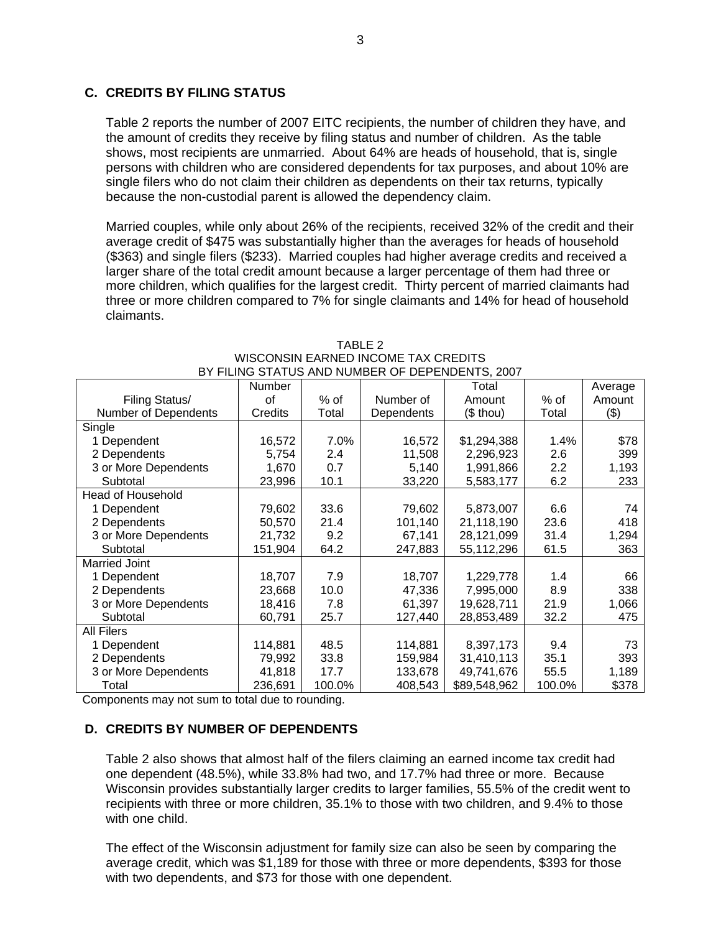# **C. CREDITS BY FILING STATUS**

Table 2 reports the number of 2007 EITC recipients, the number of children they have, and the amount of credits they receive by filing status and number of children. As the table shows, most recipients are unmarried. About 64% are heads of household, that is, single persons with children who are considered dependents for tax purposes, and about 10% are single filers who do not claim their children as dependents on their tax returns, typically because the non-custodial parent is allowed the dependency claim.

Married couples, while only about 26% of the recipients, received 32% of the credit and their average credit of \$475 was substantially higher than the averages for heads of household (\$363) and single filers (\$233). Married couples had higher average credits and received a larger share of the total credit amount because a larger percentage of them had three or more children, which qualifies for the largest credit. Thirty percent of married claimants had three or more children compared to 7% for single claimants and 14% for head of household claimants.

| DY FILING STATUS AND NUMBER OF DEPENDENTS, 2007 |         |        |            |              |        |         |  |
|-------------------------------------------------|---------|--------|------------|--------------|--------|---------|--|
|                                                 | Number  |        |            | Total        |        | Average |  |
| Filing Status/                                  | οf      | % of   | Number of  | Amount       | $%$ of | Amount  |  |
| Number of Dependents                            | Credits | Total  | Dependents | $($$ thou)   | Total  | (3)     |  |
| Single                                          |         |        |            |              |        |         |  |
| 1 Dependent                                     | 16,572  | 7.0%   | 16,572     | \$1,294,388  | 1.4%   | \$78    |  |
| 2 Dependents                                    | 5,754   | 2.4    | 11,508     | 2,296,923    | 2.6    | 399     |  |
| 3 or More Dependents                            | 1,670   | 0.7    | 5,140      | 1,991,866    | 2.2    | 1,193   |  |
| Subtotal                                        | 23,996  | 10.1   | 33,220     | 5,583,177    | 6.2    | 233     |  |
| <b>Head of Household</b>                        |         |        |            |              |        |         |  |
| 1 Dependent                                     | 79,602  | 33.6   | 79,602     | 5,873,007    | 6.6    | 74      |  |
| 2 Dependents                                    | 50,570  | 21.4   | 101,140    | 21,118,190   | 23.6   | 418     |  |
| 3 or More Dependents                            | 21,732  | 9.2    | 67,141     | 28,121,099   | 31.4   | 1,294   |  |
| Subtotal                                        | 151,904 | 64.2   | 247,883    | 55,112,296   | 61.5   | 363     |  |
| <b>Married Joint</b>                            |         |        |            |              |        |         |  |
| 1 Dependent                                     | 18,707  | 7.9    | 18,707     | 1,229,778    | 1.4    | 66      |  |
| 2 Dependents                                    | 23,668  | 10.0   | 47,336     | 7,995,000    | 8.9    | 338     |  |
| 3 or More Dependents                            | 18,416  | 7.8    | 61,397     | 19,628,711   | 21.9   | 1,066   |  |
| Subtotal                                        | 60,791  | 25.7   | 127,440    | 28,853,489   | 32.2   | 475     |  |
| <b>All Filers</b>                               |         |        |            |              |        |         |  |
| 1 Dependent                                     | 114,881 | 48.5   | 114,881    | 8,397,173    | 9.4    | 73      |  |
| 2 Dependents                                    | 79,992  | 33.8   | 159,984    | 31,410,113   | 35.1   | 393     |  |
| 3 or More Dependents                            | 41,818  | 17.7   | 133,678    | 49,741,676   | 55.5   | 1,189   |  |
| Total                                           | 236,691 | 100.0% | 408,543    | \$89,548,962 | 100.0% | \$378   |  |

TABLE 2 WISCONSIN EARNED INCOME TAX CREDITS BY FILING STATUS AND NUMBER OF DEPENDENTS, 2007

Components may not sum to total due to rounding.

# **D. CREDITS BY NUMBER OF DEPENDENTS**

Table 2 also shows that almost half of the filers claiming an earned income tax credit had one dependent (48.5%), while 33.8% had two, and 17.7% had three or more. Because Wisconsin provides substantially larger credits to larger families, 55.5% of the credit went to recipients with three or more children, 35.1% to those with two children, and 9.4% to those with one child.

The effect of the Wisconsin adjustment for family size can also be seen by comparing the average credit, which was \$1,189 for those with three or more dependents, \$393 for those with two dependents, and \$73 for those with one dependent.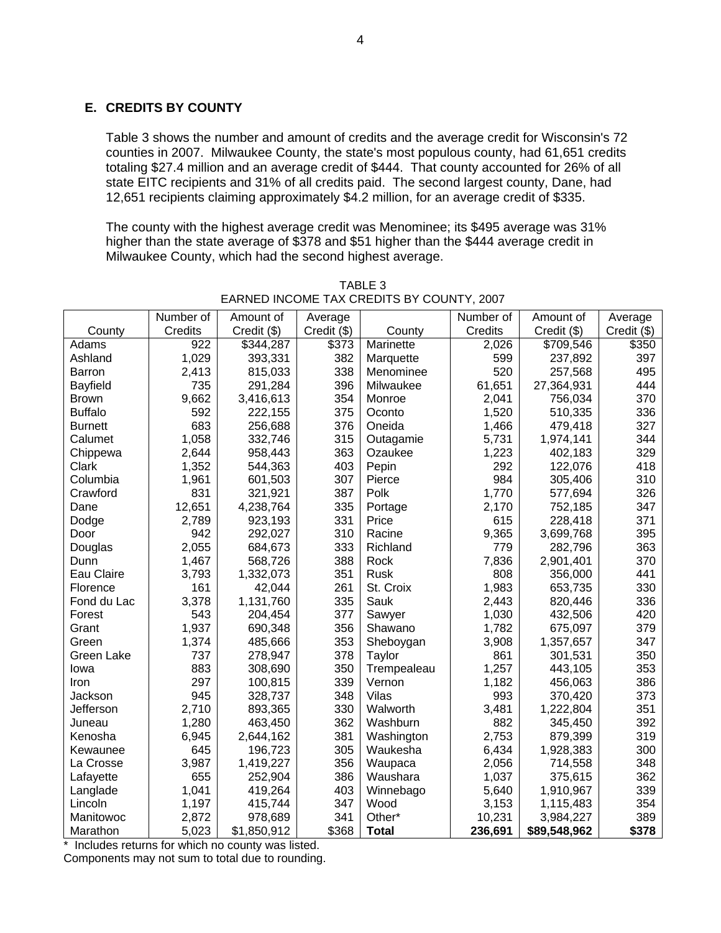# **E. CREDITS BY COUNTY**

Table 3 shows the number and amount of credits and the average credit for Wisconsin's 72 counties in 2007. Milwaukee County, the state's most populous county, had 61,651 credits totaling \$27.4 million and an average credit of \$444. That county accounted for 26% of all state EITC recipients and 31% of all credits paid. The second largest county, Dane, had 12,651 recipients claiming approximately \$4.2 million, for an average credit of \$335.

The county with the highest average credit was Menominee; its \$495 average was 31% higher than the state average of \$378 and \$51 higher than the \$444 average credit in Milwaukee County, which had the second highest average.

|                | Number of | Amount of   | Average       |              | Number of | Amount of    | Average     |
|----------------|-----------|-------------|---------------|--------------|-----------|--------------|-------------|
| County         | Credits   | Credit (\$) | $Credit$ (\$) | County       | Credits   | Credit (\$)  | Credit (\$) |
| Adams          | 922       | \$344,287   | \$373         | Marinette    | 2,026     | \$709,546    | \$350       |
| Ashland        | 1,029     | 393,331     | 382           | Marquette    | 599       | 237,892      | 397         |
| Barron         | 2,413     | 815,033     | 338           | Menominee    | 520       | 257,568      | 495         |
| Bayfield       | 735       | 291,284     | 396           | Milwaukee    | 61,651    | 27,364,931   | 444         |
| <b>Brown</b>   | 9,662     | 3,416,613   | 354           | Monroe       | 2,041     | 756,034      | 370         |
| <b>Buffalo</b> | 592       | 222,155     | 375           | Oconto       | 1,520     | 510,335      | 336         |
| <b>Burnett</b> | 683       | 256,688     | 376           | Oneida       | 1,466     | 479,418      | 327         |
| Calumet        | 1,058     | 332,746     | 315           | Outagamie    | 5,731     | 1,974,141    | 344         |
| Chippewa       | 2,644     | 958,443     | 363           | Ozaukee      | 1,223     | 402,183      | 329         |
| Clark          | 1,352     | 544,363     | 403           | Pepin        | 292       | 122,076      | 418         |
| Columbia       | 1,961     | 601,503     | 307           | Pierce       | 984       | 305,406      | 310         |
| Crawford       | 831       | 321,921     | 387           | Polk         | 1,770     | 577,694      | 326         |
| Dane           | 12,651    | 4,238,764   | 335           | Portage      | 2,170     | 752,185      | 347         |
| Dodge          | 2,789     | 923,193     | 331           | Price        | 615       | 228,418      | 371         |
| Door           | 942       | 292,027     | 310           | Racine       | 9,365     | 3,699,768    | 395         |
| Douglas        | 2,055     | 684,673     | 333           | Richland     | 779       | 282,796      | 363         |
| Dunn           | 1,467     | 568,726     | 388           | Rock         | 7,836     | 2,901,401    | 370         |
| Eau Claire     | 3,793     | 1,332,073   | 351           | Rusk         | 808       | 356,000      | 441         |
| Florence       | 161       | 42,044      | 261           | St. Croix    | 1,983     | 653,735      | 330         |
| Fond du Lac    | 3,378     | 1,131,760   | 335           | Sauk         | 2,443     | 820,446      | 336         |
| Forest         | 543       | 204,454     | 377           | Sawyer       | 1,030     | 432,506      | 420         |
| Grant          | 1,937     | 690,348     | 356           | Shawano      | 1,782     | 675,097      | 379         |
| Green          | 1,374     | 485,666     | 353           | Sheboygan    | 3,908     | 1,357,657    | 347         |
| Green Lake     | 737       | 278,947     | 378           | Taylor       | 861       | 301,531      | 350         |
| Iowa           | 883       | 308,690     | 350           | Trempealeau  | 1,257     | 443,105      | 353         |
| Iron           | 297       | 100,815     | 339           | Vernon       | 1,182     | 456,063      | 386         |
| Jackson        | 945       | 328,737     | 348           | Vilas        | 993       | 370,420      | 373         |
| Jefferson      | 2,710     | 893,365     | 330           | Walworth     | 3,481     | 1,222,804    | 351         |
| Juneau         | 1,280     | 463,450     | 362           | Washburn     | 882       | 345,450      | 392         |
| Kenosha        | 6,945     | 2,644,162   | 381           | Washington   | 2,753     | 879,399      | 319         |
| Kewaunee       | 645       | 196,723     | 305           | Waukesha     | 6,434     | 1,928,383    | 300         |
| La Crosse      | 3,987     | 1,419,227   | 356           | Waupaca      | 2,056     | 714,558      | 348         |
| Lafayette      | 655       | 252,904     | 386           | Waushara     | 1,037     | 375,615      | 362         |
| Langlade       | 1,041     | 419,264     | 403           | Winnebago    | 5,640     | 1,910,967    | 339         |
| Lincoln        | 1,197     | 415,744     | 347           | Wood         | 3,153     | 1,115,483    | 354         |
| Manitowoc      | 2,872     | 978,689     | 341           | Other*       | 10,231    | 3,984,227    | 389         |
| Marathon       | 5,023     | \$1,850,912 | \$368         | <b>Total</b> | 236,691   | \$89,548,962 | \$378       |

TABLE 3 EARNED INCOME TAX CREDITS BY COUNTY, 2007

\* Includes returns for which no county was listed.

Components may not sum to total due to rounding.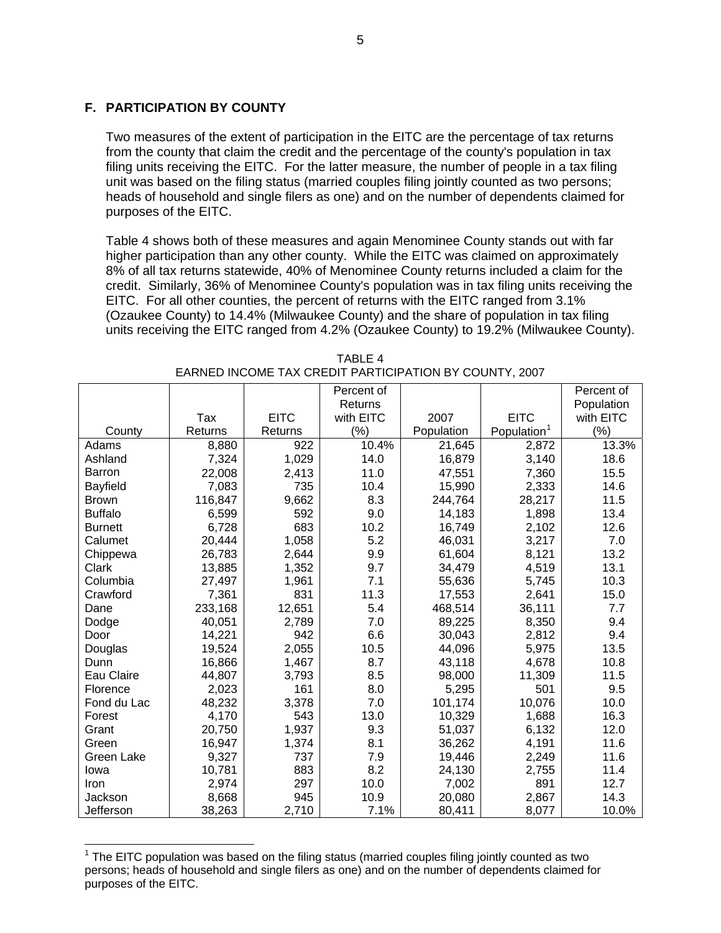# **F. PARTICIPATION BY COUNTY**

Two measures of the extent of participation in the EITC are the percentage of tax returns from the county that claim the credit and the percentage of the county's population in tax filing units receiving the EITC. For the latter measure, the number of people in a tax filing unit was based on the filing status (married couples filing jointly counted as two persons; heads of household and single filers as one) and on the number of dependents claimed for purposes of the EITC.

Table 4 shows both of these measures and again Menominee County stands out with far higher participation than any other county. While the EITC was claimed on approximately 8% of all tax returns statewide, 40% of Menominee County returns included a claim for the credit. Similarly, 36% of Menominee County's population was in tax filing units receiving the EITC. For all other counties, the percent of returns with the EITC ranged from 3.1% (Ozaukee County) to 14.4% (Milwaukee County) and the share of population in tax filing units receiving the EITC ranged from 4.2% (Ozaukee County) to 19.2% (Milwaukee County).

|                 |         |             | Percent of |            |                         | Percent of |
|-----------------|---------|-------------|------------|------------|-------------------------|------------|
|                 |         |             | Returns    |            |                         | Population |
|                 | Tax     | <b>EITC</b> | with EITC  | 2007       | <b>EITC</b>             | with EITC  |
| County          | Returns | Returns     | $(\% )$    | Population | Population <sup>1</sup> | $(\% )$    |
| Adams           | 8,880   | 922         | 10.4%      | 21,645     | 2,872                   | 13.3%      |
| Ashland         | 7,324   | 1,029       | 14.0       | 16,879     | 3,140                   | 18.6       |
| <b>Barron</b>   | 22,008  | 2,413       | 11.0       | 47,551     | 7,360                   | 15.5       |
| <b>Bayfield</b> | 7,083   | 735         | 10.4       | 15,990     | 2,333                   | 14.6       |
| <b>Brown</b>    | 116,847 | 9,662       | 8.3        | 244,764    | 28,217                  | 11.5       |
| <b>Buffalo</b>  | 6,599   | 592         | 9.0        | 14,183     | 1,898                   | 13.4       |
| <b>Burnett</b>  | 6,728   | 683         | 10.2       | 16,749     | 2,102                   | 12.6       |
| Calumet         | 20,444  | 1,058       | 5.2        | 46,031     | 3,217                   | 7.0        |
| Chippewa        | 26,783  | 2,644       | 9.9        | 61,604     | 8,121                   | 13.2       |
| Clark           | 13,885  | 1,352       | 9.7        | 34,479     | 4,519                   | 13.1       |
| Columbia        | 27,497  | 1,961       | 7.1        | 55,636     | 5,745                   | 10.3       |
| Crawford        | 7,361   | 831         | 11.3       | 17,553     | 2,641                   | 15.0       |
| Dane            | 233,168 | 12,651      | 5.4        | 468,514    | 36,111                  | 7.7        |
| Dodge           | 40,051  | 2,789       | 7.0        | 89,225     | 8,350                   | 9.4        |
| Door            | 14,221  | 942         | 6.6        | 30,043     | 2,812                   | 9.4        |
| Douglas         | 19,524  | 2,055       | 10.5       | 44,096     | 5,975                   | 13.5       |
| Dunn            | 16,866  | 1,467       | 8.7        | 43,118     | 4,678                   | 10.8       |
| Eau Claire      | 44,807  | 3,793       | 8.5        | 98,000     | 11,309                  | 11.5       |
| Florence        | 2,023   | 161         | 8.0        | 5,295      | 501                     | 9.5        |
| Fond du Lac     | 48,232  | 3,378       | 7.0        | 101,174    | 10,076                  | 10.0       |
| Forest          | 4,170   | 543         | 13.0       | 10,329     | 1,688                   | 16.3       |
| Grant           | 20,750  | 1,937       | 9.3        | 51,037     | 6,132                   | 12.0       |
| Green           | 16,947  | 1,374       | 8.1        | 36,262     | 4,191                   | 11.6       |
| Green Lake      | 9,327   | 737         | 7.9        | 19,446     | 2,249                   | 11.6       |
| lowa            | 10,781  | 883         | 8.2        | 24,130     | 2,755                   | 11.4       |
| Iron            | 2,974   | 297         | 10.0       | 7,002      | 891                     | 12.7       |
| Jackson         | 8,668   | 945         | 10.9       | 20,080     | 2,867                   | 14.3       |
| Jefferson       | 38,263  | 2,710       | 7.1%       | 80,411     | 8,077                   | 10.0%      |

TABLE 4 EARNED INCOME TAX CREDIT PARTICIPATION BY COUNTY, 2007

<span id="page-4-0"></span> $1$  The EITC population was based on the filing status (married couples filing jointly counted as two persons; heads of household and single filers as one) and on the number of dependents claimed for purposes of the EITC.